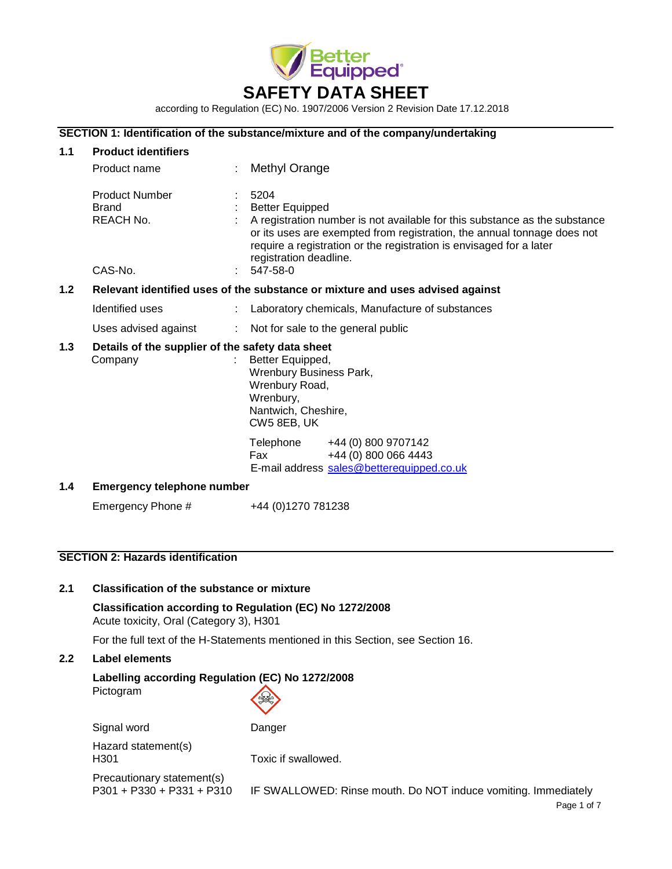

according to Regulation (EC) No. 1907/2006 Version 2 Revision Date 17.12.2018

### **SECTION 1: Identification of the substance/mixture and of the company/undertaking**

| 1.1              | <b>Product identifiers</b>                                                    |                                                                                                                                                                                                                                                                                                      |  |  |  |
|------------------|-------------------------------------------------------------------------------|------------------------------------------------------------------------------------------------------------------------------------------------------------------------------------------------------------------------------------------------------------------------------------------------------|--|--|--|
|                  | Product name                                                                  | Methyl Orange                                                                                                                                                                                                                                                                                        |  |  |  |
|                  | <b>Product Number</b><br>Brand<br><b>REACH No.</b><br>CAS-No.                 | 5204<br><b>Better Equipped</b><br>A registration number is not available for this substance as the substance<br>or its uses are exempted from registration, the annual tonnage does not<br>require a registration or the registration is envisaged for a later<br>registration deadline.<br>547-58-0 |  |  |  |
| 1.2 <sub>2</sub> | Relevant identified uses of the substance or mixture and uses advised against |                                                                                                                                                                                                                                                                                                      |  |  |  |
|                  | Identified uses                                                               | Laboratory chemicals, Manufacture of substances                                                                                                                                                                                                                                                      |  |  |  |
|                  | Uses advised against<br>÷.                                                    | Not for sale to the general public                                                                                                                                                                                                                                                                   |  |  |  |
| 1.3              | Details of the supplier of the safety data sheet<br>Company                   | Better Equipped,<br>Wrenbury Business Park,<br>Wrenbury Road,<br>Wrenbury,<br>Nantwich, Cheshire,<br>CW5 8EB, UK                                                                                                                                                                                     |  |  |  |
|                  |                                                                               | Telephone<br>+44 (0) 800 9707142<br>+44 (0) 800 066 4443<br><b>Fax</b><br>E-mail address sales@betterequipped.co.uk                                                                                                                                                                                  |  |  |  |
| 1.4              | <b>Emergency telephone number</b>                                             |                                                                                                                                                                                                                                                                                                      |  |  |  |
|                  | Emergency Phone #                                                             | +44 (0)1270 781238                                                                                                                                                                                                                                                                                   |  |  |  |

# **SECTION 2: Hazards identification**

# **2.1 Classification of the substance or mixture**

**Classification according to Regulation (EC) No 1272/2008** Acute toxicity, Oral (Category 3), H301

For the full text of the H-Statements mentioned in this Section, see Section 16.

# **2.2 Label elements**

# **Labelling according Regulation (EC) No 1272/2008** Pictogram

Hazard statement(s)

Signal word Danger

H301 Toxic if swallowed.

Precautionary statement(s)<br>P301 + P330 + P331 + P310

IF SWALLOWED: Rinse mouth. Do NOT induce vomiting. Immediately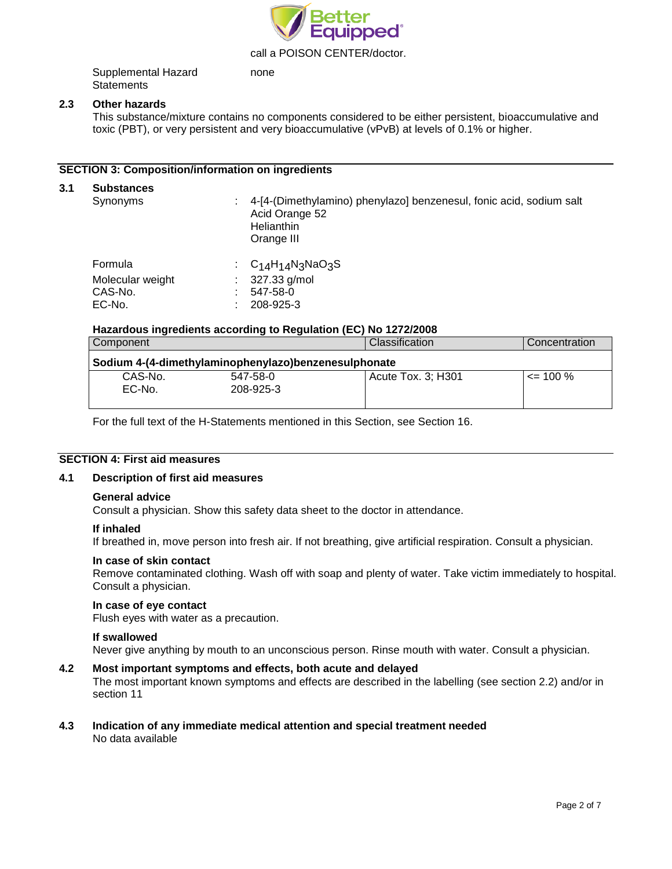

call a POISON CENTER/doctor.

Supplemental Hazard **Statements** none

#### **2.3 Other hazards**

This substance/mixture contains no components considered to be either persistent, bioaccumulative and toxic (PBT), or very persistent and very bioaccumulative (vPvB) at levels of 0.1% or higher.

### **SECTION 3: Composition/information on ingredients**

# **3.1 Substances** Synonyms : 4-[4-(Dimethylamino) phenylazo] benzenesul, fonic acid, sodium salt Acid Orange 52 **Helianthin** Orange III Formula : C<sub>14</sub>H<sub>14</sub>N<sub>3</sub>NaO<sub>3</sub>S<br>Molecular weight : 327.33 g/mol Molecular weight : 327.33 CAS-No. : 547-58-0 EC-No. : 208-925-3

#### **Hazardous ingredients according to Regulation (EC) No 1272/2008**

| Component                                            |                       | Classification     | Concentration |  |  |  |
|------------------------------------------------------|-----------------------|--------------------|---------------|--|--|--|
| Sodium 4-(4-dimethylaminophenylazo)benzenesulphonate |                       |                    |               |  |  |  |
| CAS-No.<br>EC-No.                                    | 547-58-0<br>208-925-3 | Acute Tox. 3; H301 | $\leq$ 100 %  |  |  |  |

For the full text of the H-Statements mentioned in this Section, see Section 16.

#### **SECTION 4: First aid measures**

#### **4.1 Description of first aid measures**

#### **General advice**

Consult a physician. Show this safety data sheet to the doctor in attendance.

#### **If inhaled**

If breathed in, move person into fresh air. If not breathing, give artificial respiration. Consult a physician.

#### **In case of skin contact**

Remove contaminated clothing. Wash off with soap and plenty of water. Take victim immediately to hospital. Consult a physician.

#### **In case of eye contact**

Flush eyes with water as a precaution.

#### **If swallowed**

Never give anything by mouth to an unconscious person. Rinse mouth with water. Consult a physician.

#### **4.2 Most important symptoms and effects, both acute and delayed**

The most important known symptoms and effects are described in the labelling (see section 2.2) and/or in section 11

#### **4.3 Indication of any immediate medical attention and special treatment needed** No data available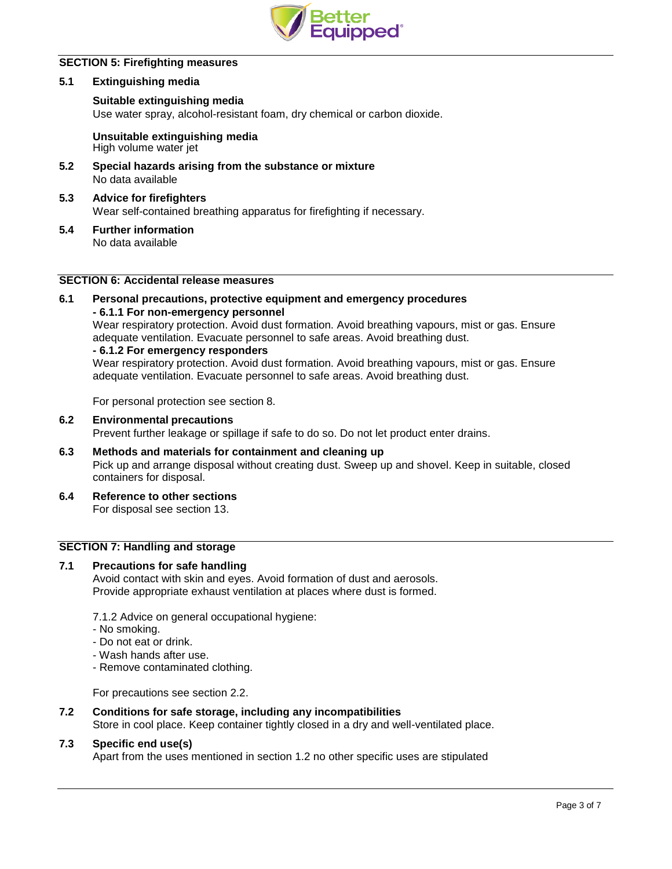

# **SECTION 5: Firefighting measures**

#### **5.1 Extinguishing media**

#### **Suitable extinguishing media**

Use water spray, alcohol-resistant foam, dry chemical or carbon dioxide.

**Unsuitable extinguishing media** High volume water jet

- **5.2 Special hazards arising from the substance or mixture** No data available
- **5.3 Advice for firefighters** Wear self-contained breathing apparatus for firefighting if necessary.
- **5.4 Further information** No data available

# **SECTION 6: Accidental release measures**

# **6.1 Personal precautions, protective equipment and emergency procedures - 6.1.1 For non-emergency personnel** Wear respiratory protection. Avoid dust formation. Avoid breathing vapours, mist or gas. Ensure adequate ventilation. Evacuate personnel to safe areas. Avoid breathing dust.

**- 6.1.2 For emergency responders**

Wear respiratory protection. Avoid dust formation. Avoid breathing vapours, mist or gas. Ensure adequate ventilation. Evacuate personnel to safe areas. Avoid breathing dust.

For personal protection see section 8.

**6.2 Environmental precautions**

Prevent further leakage or spillage if safe to do so. Do not let product enter drains.

- **6.3 Methods and materials for containment and cleaning up** Pick up and arrange disposal without creating dust. Sweep up and shovel. Keep in suitable, closed containers for disposal.
- **6.4 Reference to other sections**

For disposal see section 13.

# **SECTION 7: Handling and storage**

# **7.1 Precautions for safe handling**

Avoid contact with skin and eyes. Avoid formation of dust and aerosols. Provide appropriate exhaust ventilation at places where dust is formed.

7.1.2 Advice on general occupational hygiene:

- No smoking.
- Do not eat or drink.
- Wash hands after use.
- Remove contaminated clothing.

For precautions see section 2.2.

# **7.2 Conditions for safe storage, including any incompatibilities**

Store in cool place. Keep container tightly closed in a dry and well-ventilated place.

### **7.3 Specific end use(s)**

Apart from the uses mentioned in section 1.2 no other specific uses are stipulated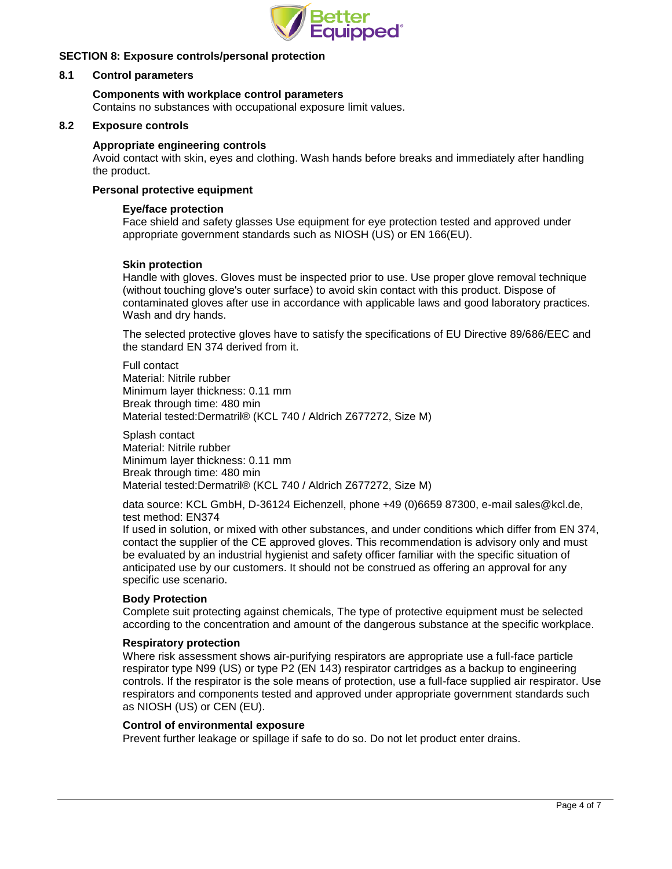

# **SECTION 8: Exposure controls/personal protection**

# **8.1 Control parameters**

# **Components with workplace control parameters**

Contains no substances with occupational exposure limit values.

### **8.2 Exposure controls**

### **Appropriate engineering controls**

Avoid contact with skin, eyes and clothing. Wash hands before breaks and immediately after handling the product.

## **Personal protective equipment**

#### **Eye/face protection**

Face shield and safety glasses Use equipment for eye protection tested and approved under appropriate government standards such as NIOSH (US) or EN 166(EU).

#### **Skin protection**

Handle with gloves. Gloves must be inspected prior to use. Use proper glove removal technique (without touching glove's outer surface) to avoid skin contact with this product. Dispose of contaminated gloves after use in accordance with applicable laws and good laboratory practices. Wash and dry hands.

The selected protective gloves have to satisfy the specifications of EU Directive 89/686/EEC and the standard EN 374 derived from it.

Full contact Material: Nitrile rubber Minimum layer thickness: 0.11 mm Break through time: 480 min Material tested:Dermatril® (KCL 740 / Aldrich Z677272, Size M)

Splash contact Material: Nitrile rubber Minimum layer thickness: 0.11 mm Break through time: 480 min Material tested:Dermatril® (KCL 740 / Aldrich Z677272, Size M)

data source: KCL GmbH, D-36124 Eichenzell, phone +49 (0)6659 87300, e-mail [sales@kcl.de,](mailto:sales@kcl.de) test method: EN374

If used in solution, or mixed with other substances, and under conditions which differ from EN 374, contact the supplier of the CE approved gloves. This recommendation is advisory only and must be evaluated by an industrial hygienist and safety officer familiar with the specific situation of anticipated use by our customers. It should not be construed as offering an approval for any specific use scenario.

### **Body Protection**

Complete suit protecting against chemicals, The type of protective equipment must be selected according to the concentration and amount of the dangerous substance at the specific workplace.

#### **Respiratory protection**

Where risk assessment shows air-purifying respirators are appropriate use a full-face particle respirator type N99 (US) or type P2 (EN 143) respirator cartridges as a backup to engineering controls. If the respirator is the sole means of protection, use a full-face supplied air respirator. Use respirators and components tested and approved under appropriate government standards such as NIOSH (US) or CEN (EU).

# **Control of environmental exposure**

Prevent further leakage or spillage if safe to do so. Do not let product enter drains.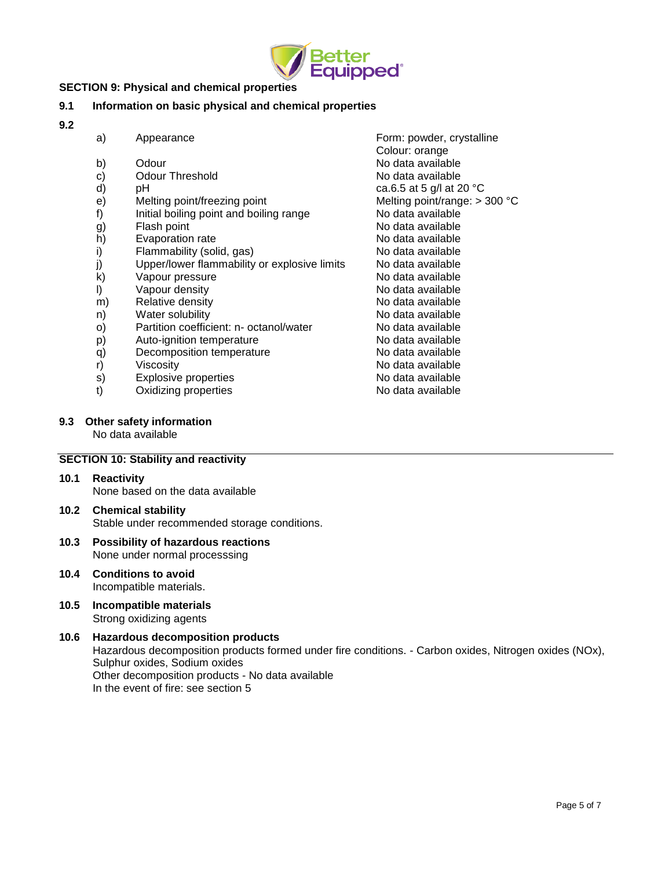

# **SECTION 9: Physical and chemical properties**

# **9.1 Information on basic physical and chemical properties**

**9.2**

- 
- 
- 
- 
- f) Initial boiling point and boiling range
- g) Flash point Contract Contract Contract Contract Contract No data available
- h) Evaporation rate No data available
- i) Flammability (solid, gas) No data available
- j) Upper/lower flammability or explosive limits No data available
- k) Vapour pressure No data available
- l) Vapour density No data available
- m) Relative density **No data available** Relative density
- n) Water solubility No data available
- o) Partition coefficient: n- octanol/water No data available
- 
- q) Decomposition temperature
- 
- 
- $t$ ) Oxidizing properties
- a) Appearance **Form: powder, crystalline** Colour: orange b) Odour Channel Channel Channel Channel Channel Channel Channel Channel Channel Channel Channel Channel Channel Channel Channel Channel Channel Channel Channel Channel Channel Channel Channel Channel Channel Channel Chann c) Odour Threshold Collection Controller Collection No data available d) pH ca.6.5 at 5 g/l at 20  $^{\circ}$ C e) Melting point/freezing point<br>
f) lnitial boiling point and boiling range Mo data available<br>
No data available p) Auto-ignition temperature  $\begin{array}{ccc} \text{a} & \text{b} & \text{c} \\ \text{c} & \text{d} & \text{d} \end{array}$  Auto-ignition temperature  $\begin{array}{ccc} \text{d} & \text{e} & \text{d} \\ \text{e} & \text{f} & \text{e} & \text{e} \\ \text{f} & \text{f} & \text{f} & \text{f} \end{array}$ r) Viscosity Viscosity (and the Viscosity of the Viscosity of the Viscosity of the Viscosity of the Viscosity<br>
S) Explosive properties (and the Viscosity of No data available) s) Explosive properties and the set of the No data available to the No data available to the No data available
- **9.3 Other safety information**

No data available

# **SECTION 10: Stability and reactivity**

**10.1 Reactivity** None based on the data available

# **10.2 Chemical stability** Stable under recommended storage conditions.

#### **10.3 Possibility of hazardous reactions** None under normal processsing

- **10.4 Conditions to avoid** Incompatible materials.
- **10.5 Incompatible materials** Strong oxidizing agents

# **10.6 Hazardous decomposition products** Hazardous decomposition products formed under fire conditions. - Carbon oxides, Nitrogen oxides (NOx), Sulphur oxides, Sodium oxides Other decomposition products - No data available In the event of fire: see section 5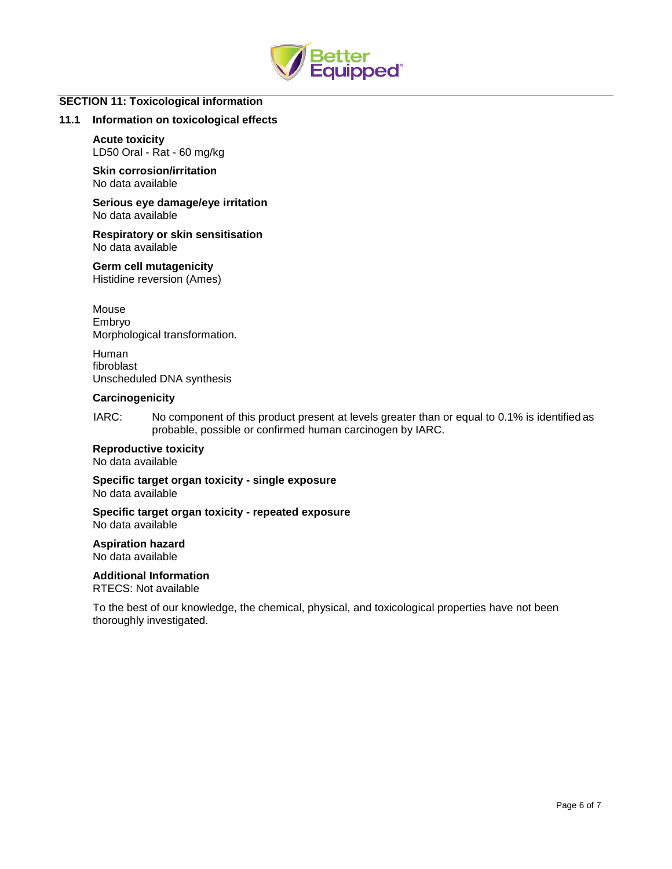

### **SECTION 11: Toxicological information**

#### **11.1 Information on toxicological effects**

#### **Acute toxicity**

LD50 Oral - Rat - 60 mg/kg

**Skin corrosion/irritation** No data available

**Serious eye damage/eye irritation** No data available

**Respiratory or skin sensitisation** No data available

**Germ cell mutagenicity** Histidine reversion (Ames)

Mouse Embryo Morphological transformation.

Human fibroblast Unscheduled DNA synthesis

#### **Carcinogenicity**

IARC: No component of this product present at levels greater than or equal to 0.1% is identified as probable, possible or confirmed human carcinogen by IARC.

#### **Reproductive toxicity**

No data available

**Specific target organ toxicity - single exposure**

No data available

#### **Specific target organ toxicity - repeated exposure** No data available

**Aspiration hazard** No data available

**Additional Information**

RTECS: Not available

To the best of our knowledge, the chemical, physical, and toxicological properties have not been thoroughly investigated.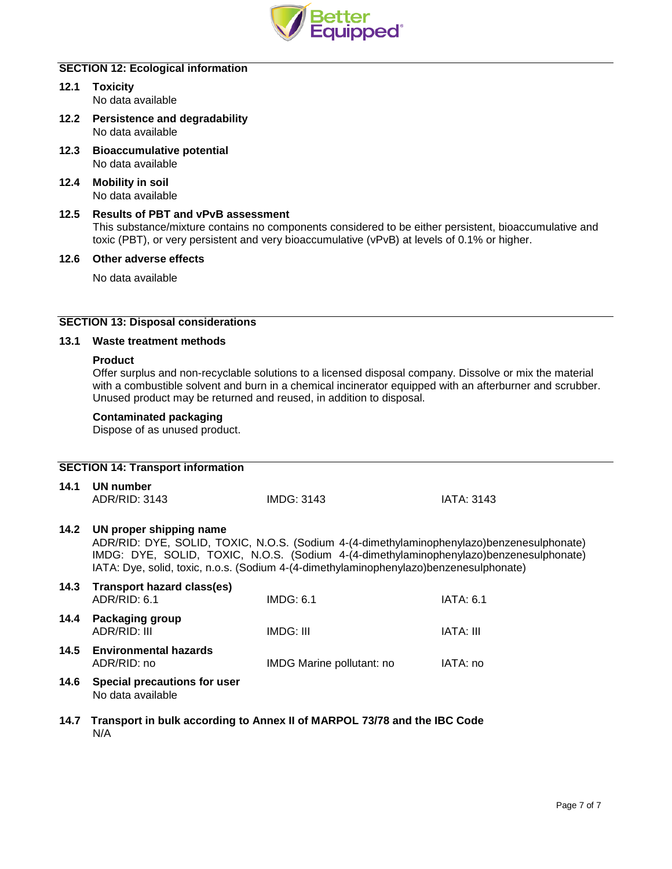

# **SECTION 12: Ecological information**

- **12.1 Toxicity** No data available
- **12.2 Persistence and degradability** No data available
- **12.3 Bioaccumulative potential** No data available
- **12.4 Mobility in soil** No data available

# **12.5 Results of PBT and vPvB assessment** This substance/mixture contains no components considered to be either persistent, bioaccumulative and toxic (PBT), or very persistent and very bioaccumulative (vPvB) at levels of 0.1% or higher.

**12.6 Other adverse effects**

No data available

# **SECTION 13: Disposal considerations**

# **13.1 Waste treatment methods**

### **Product**

Offer surplus and non-recyclable solutions to a licensed disposal company. Dissolve or mix the material with a combustible solvent and burn in a chemical incinerator equipped with an afterburner and scrubber. Unused product may be returned and reused, in addition to disposal.

### **Contaminated packaging**

Dispose of as unused product.

| <b>SECTION 14: Transport information</b> |                                                                                                                                                                                                                                                                                                          |                           |                   |  |  |  |  |
|------------------------------------------|----------------------------------------------------------------------------------------------------------------------------------------------------------------------------------------------------------------------------------------------------------------------------------------------------------|---------------------------|-------------------|--|--|--|--|
| 14.1                                     | UN number<br>ADR/RID: 3143                                                                                                                                                                                                                                                                               | <b>IMDG: 3143</b>         | <b>IATA: 3143</b> |  |  |  |  |
| 14.2                                     | UN proper shipping name<br>ADR/RID: DYE, SOLID, TOXIC, N.O.S. (Sodium 4-(4-dimethylaminophenylazo)benzenesulphonate)<br>IMDG: DYE, SOLID, TOXIC, N.O.S. (Sodium 4-(4-dimethylaminophenylazo)benzenesulphonate)<br>IATA: Dye, solid, toxic, n.o.s. (Sodium 4-(4-dimethylaminophenylazo)benzenesulphonate) |                           |                   |  |  |  |  |
| 14.3                                     | <b>Transport hazard class(es)</b><br>ADR/RID: 6.1                                                                                                                                                                                                                                                        | IMDG: 6.1                 | <b>IATA: 6.1</b>  |  |  |  |  |
| 14.4                                     | Packaging group<br>ADR/RID: III                                                                                                                                                                                                                                                                          | IMDG: III                 | IATA: III         |  |  |  |  |
| 14.5                                     | <b>Environmental hazards</b><br>ADR/RID: no                                                                                                                                                                                                                                                              | IMDG Marine pollutant: no | IATA: no          |  |  |  |  |
| 14.6                                     | Special precautions for user<br>No data available                                                                                                                                                                                                                                                        |                           |                   |  |  |  |  |
|                                          | 14.7 Transport in bulk according to Annex II of MARPOL 73/78 and the IBC Code                                                                                                                                                                                                                            |                           |                   |  |  |  |  |

N/A